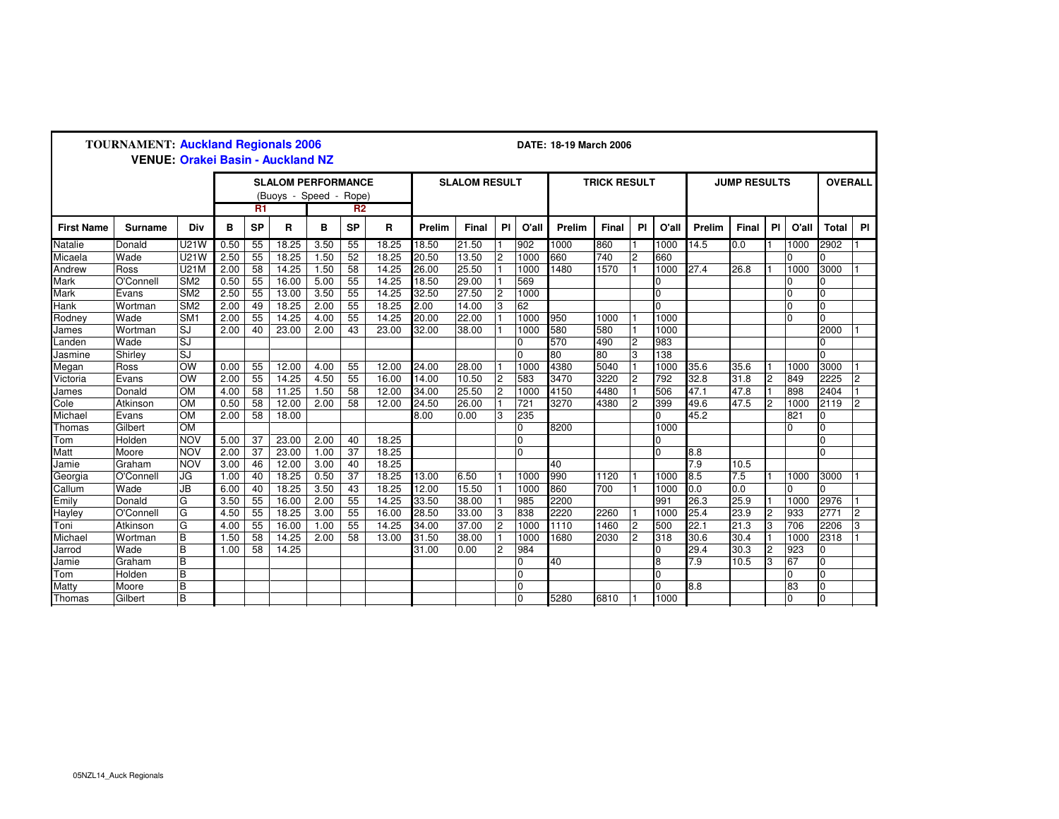| <b>TOURNAMENT: Auckland Regionals 2006</b><br><b>VENUE: Orakei Basin - Auckland NZ</b> |                                                     |                         |      |                 |       |                |                      |       |        | DATE: 18-19 March 2006 |                |                     |        |       |                     |                |                  |       |                         |                |                |                |
|----------------------------------------------------------------------------------------|-----------------------------------------------------|-------------------------|------|-----------------|-------|----------------|----------------------|-------|--------|------------------------|----------------|---------------------|--------|-------|---------------------|----------------|------------------|-------|-------------------------|----------------|----------------|----------------|
|                                                                                        | <b>SLALOM PERFORMANCE</b><br>(Buoys - Speed - Rope) |                         |      |                 |       |                | <b>SLALOM RESULT</b> |       |        |                        |                | <b>TRICK RESULT</b> |        |       | <b>JUMP RESULTS</b> |                |                  |       | <b>OVERALL</b>          |                |                |                |
|                                                                                        |                                                     |                         |      | R <sub>1</sub>  |       | R <sub>2</sub> |                      |       |        |                        |                |                     |        |       |                     |                |                  |       |                         |                |                |                |
| <b>First Name</b>                                                                      | Surname                                             | Div                     | в    | <b>SP</b>       | R     | B              | <b>SP</b>            | R     | Prelim | <b>Final</b>           | PI             | O'all               | Prelim | Final | <b>PI</b>           | O'all          | Prelim           | Final | PI                      | O'all          | <b>Total</b>   | <b>PI</b>      |
| Natalie                                                                                | Donald                                              | <b>U21W</b>             | 0.50 | 55              | 18.25 | 3.50           | 55                   | 18.25 | 18.50  | $\overline{21.50}$     |                | 902                 | 1000   | 860   |                     | 1000           | 14.5             | 0.0   |                         | 1000           | 2902           |                |
| Micaela                                                                                | Wade                                                | <b>U21W</b>             | 2.50 | 55              | 18.25 | 1.50           | 52                   | 18.25 | 20.50  | 13.50                  | $\overline{2}$ | 1000                | 660    | 740   | $\overline{2}$      | 660            |                  |       |                         |                |                |                |
| Andrew                                                                                 | Ross                                                | <b>U21M</b>             | 2.00 | 58              | 14.25 | 1.50           | 58                   | 14.25 | 26.00  | 25.50                  |                | 1000                | 1480   | 1570  |                     | 1000           | 27.4             | 26.8  |                         | 1000           | 3000           |                |
| Mark                                                                                   | O'Connell                                           | SM <sub>2</sub>         | 0.50 | 55              | 16.00 | 5.00           | 55                   | 14.25 | 18.50  | 29.00                  |                | 569                 |        |       |                     | $\Omega$       |                  |       |                         |                | O.             |                |
| Mark                                                                                   | Evans                                               | SM <sub>2</sub>         | 2.50 | 55              | 13.00 | 3.50           | 55                   | 14.25 | 32.50  | 27.50                  | 2              | 1000                |        |       |                     | $\overline{0}$ |                  |       |                         | $\overline{0}$ | l0             |                |
| Hank                                                                                   | Wortman                                             | SM <sub>2</sub>         | 2.00 | 49              | 18.25 | 2.00           | $\overline{55}$      | 18.25 | 2.00   | 14.00                  | 3              | 62                  |        |       |                     | $\Omega$       |                  |       |                         | $\Omega$       | l0             |                |
| Rodney                                                                                 | Wade                                                | $\overline{\text{SM1}}$ | 2.00 | $\overline{55}$ | 14.25 | 4.00           | $\overline{55}$      | 14.25 | 20.00  | 22.00                  |                | 1000                | 950    | 1000  |                     | 1000           |                  |       |                         | $\Omega$       | <sup>o</sup>   |                |
| James                                                                                  | Wortman                                             | SJ                      | 2.00 | 40              | 23.00 | 2.00           | 43                   | 23.00 | 32.00  | 38.00                  |                | 1000                | 580    | 580   |                     | 1000           |                  |       |                         |                | 2000           |                |
| Landen                                                                                 | Wade                                                | SJ                      |      |                 |       |                |                      |       |        |                        |                | $\overline{0}$      | 570    | 490   | $\overline{c}$      | 983            |                  |       |                         |                | 0              |                |
| Jasmine                                                                                | Shirley                                             | SJ                      |      |                 |       |                |                      |       |        |                        |                | $\overline{0}$      | 80     | 80    | 3                   | 138            |                  |       |                         |                | O.             |                |
| Megan                                                                                  | Ross                                                | <b>OW</b>               | 0.00 | 55              | 12.00 | 4.00           | 55                   | 12.00 | 24.00  | 28.00                  |                | 1000                | 4380   | 5040  |                     | 1000           | 35.6             | 35.6  |                         | 1000           | 3000           |                |
| Victoria                                                                               | Evans                                               | $\overline{\text{OW}}$  | 2.00 | 55              | 14.25 | 4.50           | $\overline{55}$      | 16.00 | 14.00  | 10.50                  | $\overline{2}$ | 583                 | 3470   | 3220  | $\overline{2}$      | 792            | 32.8             | 31.8  | $\overline{c}$          | 849            | 2225           | $\overline{2}$ |
| James                                                                                  | Donald                                              | $\overline{OM}$         | 4.00 | 58              | 11.25 | 1.50           | 58                   | 12.00 | 34.00  | 25.50                  | $\overline{2}$ | 1000                | 4150   | 4480  |                     | 506            | 47.1             | 47.8  |                         | 898            | 2404           |                |
| Cole                                                                                   | Atkinson                                            | <b>OM</b>               | 0.50 | 58              | 12.00 | 2.00           | 58                   | 12.00 | 24.50  | 26.00                  |                | 721                 | 3270   | 4380  | $\overline{2}$      | 399            | 49.6             | 47.5  | $\overline{2}$          | 1000           | 2119           | $\overline{c}$ |
| Michael                                                                                | Evans                                               | $\overline{OM}$         | 2.00 | 58              | 18.00 |                |                      |       | 8.00   | 0.00                   | 3              | 235                 |        |       |                     | $\Omega$       | 45.2             |       |                         | 821            | l0             |                |
| Thomas                                                                                 | Gilbert                                             | $\overline{OM}$         |      |                 |       |                |                      |       |        |                        |                | $\overline{0}$      | 8200   |       |                     | 1000           |                  |       |                         | $\Omega$       | O.             |                |
| Tom                                                                                    | Holden                                              | <b>NOV</b>              | 5.00 | 37              | 23.00 | 2.00           | 40                   | 18.25 |        |                        |                | $\overline{0}$      |        |       |                     | $\Omega$       |                  |       |                         |                | l0             |                |
| Matt                                                                                   | Moore                                               | <b>NOV</b>              | 2.00 | 37              | 23.00 | 1.00           | 37                   | 18.25 |        |                        |                | $\Omega$            |        |       |                     | $\Omega$       | 8.8              |       |                         |                | l0.            |                |
| Jamie                                                                                  | Graham                                              | <b>NOV</b>              | 3.00 | 46              | 12.00 | 3.00           | 40                   | 18.25 |        |                        |                |                     | 40     |       |                     |                | $\overline{7.9}$ | 10.5  |                         |                |                |                |
| Georgia                                                                                | O'Connell                                           | JG                      | 1.00 | 40              | 18.25 | 0.50           | 37                   | 18.25 | 13.00  | 6.50                   |                | 1000                | 990    | 1120  |                     | 1000           | 8.5              | 7.5   |                         | 1000           | 3000           |                |
| Callum                                                                                 | Wade                                                | <b>JB</b>               | 6.00 | 40              | 18.25 | 3.50           | 43                   | 18.25 | 12.00  | 15.50                  |                | 1000                | 860    | 700   |                     | 1000           | 0.0              | 0.0   |                         |                | 0              |                |
| Emily                                                                                  | Donald                                              | G                       | 3.50 | 55              | 16.00 | 2.00           | 55                   | 14.25 | 33.50  | 38.00                  |                | 985                 | 2200   |       |                     | 991            | 26.3             | 25.9  |                         | 1000           | 2976           |                |
| Hayley                                                                                 | O'Connell                                           | G                       | 4.50 | 55              | 18.25 | 3.00           | 55                   | 16.00 | 28.50  | 33.00                  | 3              | 838                 | 2220   | 2260  |                     | 1000           | 25.4             | 23.9  | $\overline{\mathbf{c}}$ | 933            | 2771           | $\overline{c}$ |
| Toni                                                                                   | Atkinson                                            | G                       | 4.00 | 55              | 16.00 | 1.00           | $\overline{55}$      | 14.25 | 34.00  | 37.00                  | $\overline{c}$ | 1000                | 1110   | 1460  | $\overline{2}$      | 500            | 22.1             | 21.3  | 3                       | 706            | 2206           | 3              |
| Michael                                                                                | Wortman                                             | в                       | 1.50 | 58              | 14.25 | 2.00           | 58                   | 13.00 | 31.50  | 38.00                  |                | 1000                | 1680   | 2030  | $\overline{2}$      | 318            | 30.6             | 30.4  |                         | 1000           | 2318           |                |
| Jarrod                                                                                 | Wade                                                | $\overline{B}$          | 1.00 | 58              | 14.25 |                |                      |       | 31.00  | 0.00                   | $\overline{2}$ | 984                 |        |       |                     | 0              | 29.4             | 30.3  | 2                       | 923            | O              |                |
| Jamie                                                                                  | Graham                                              | B                       |      |                 |       |                |                      |       |        |                        |                | $\overline{0}$      | 40     |       |                     | 8              | 7.9              | 10.5  | 3                       | 67             | 0              |                |
| Tom                                                                                    | Holden                                              | в                       |      |                 |       |                |                      |       |        |                        |                | $\overline{0}$      |        |       |                     | $\Omega$       |                  |       |                         | $\mathbf 0$    | $\overline{0}$ |                |
| Matty                                                                                  | Moore                                               | в                       |      |                 |       |                |                      |       |        |                        |                | $\Omega$            |        |       |                     | $\Omega$       | 8.8              |       |                         | 83             | l0             |                |
| Thomas                                                                                 | Gilbert                                             | B                       |      |                 |       |                |                      |       |        |                        |                | $\Omega$            | 5280   | 6810  |                     | 1000           |                  |       |                         | $\Omega$       | 0              |                |